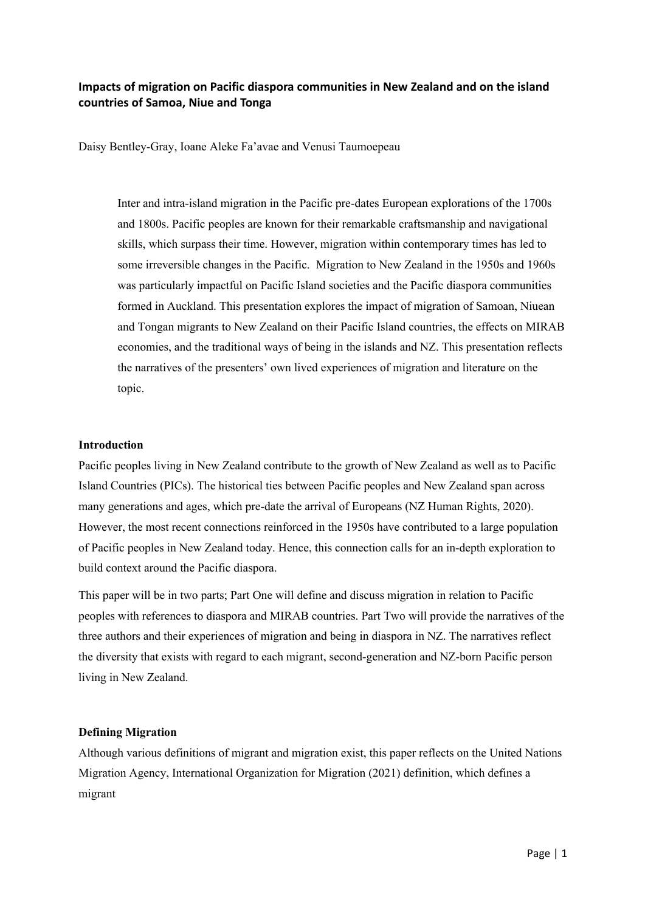# **Impacts of migration on Pacific diaspora communities in New Zealand and on the island countries of Samoa, Niue and Tonga**

Daisy Bentley-Gray, Ioane Aleke Fa'avae and Venusi Taumoepeau

Inter and intra-island migration in the Pacific pre-dates European explorations of the 1700s and 1800s. Pacific peoples are known for their remarkable craftsmanship and navigational skills, which surpass their time. However, migration within contemporary times has led to some irreversible changes in the Pacific. Migration to New Zealand in the 1950s and 1960s was particularly impactful on Pacific Island societies and the Pacific diaspora communities formed in Auckland. This presentation explores the impact of migration of Samoan, Niuean and Tongan migrants to New Zealand on their Pacific Island countries, the effects on MIRAB economies, and the traditional ways of being in the islands and NZ. This presentation reflects the narratives of the presenters' own lived experiences of migration and literature on the topic.

## **Introduction**

Pacific peoples living in New Zealand contribute to the growth of New Zealand as well as to Pacific Island Countries (PICs). The historical ties between Pacific peoples and New Zealand span across many generations and ages, which pre-date the arrival of Europeans (NZ Human Rights, 2020). However, the most recent connections reinforced in the 1950s have contributed to a large population of Pacific peoples in New Zealand today. Hence, this connection calls for an in-depth exploration to build context around the Pacific diaspora.

This paper will be in two parts; Part One will define and discuss migration in relation to Pacific peoples with references to diaspora and MIRAB countries. Part Two will provide the narratives of the three authors and their experiences of migration and being in diaspora in NZ. The narratives reflect the diversity that exists with regard to each migrant, second-generation and NZ-born Pacific person living in New Zealand.

#### **Defining Migration**

Although various definitions of migrant and migration exist, this paper reflects on the United Nations Migration Agency, International Organization for Migration (2021) definition, which defines a migrant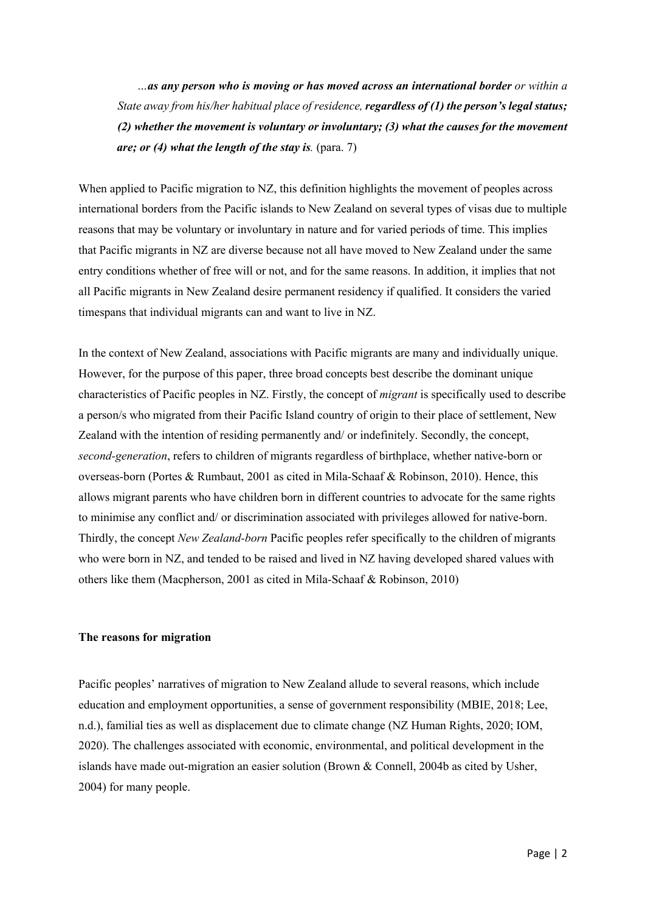*…as any person who is moving or has moved across an international border or within a State away from his/her habitual place of residence, regardless of (1) the person's legal status; (2) whether the movement is voluntary or involuntary; (3) what the causes for the movement are; or (4) what the length of the stay is. (para. 7)* 

When applied to Pacific migration to NZ, this definition highlights the movement of peoples across international borders from the Pacific islands to New Zealand on several types of visas due to multiple reasons that may be voluntary or involuntary in nature and for varied periods of time. This implies that Pacific migrants in NZ are diverse because not all have moved to New Zealand under the same entry conditions whether of free will or not, and for the same reasons. In addition, it implies that not all Pacific migrants in New Zealand desire permanent residency if qualified. It considers the varied timespans that individual migrants can and want to live in NZ.

In the context of New Zealand, associations with Pacific migrants are many and individually unique. However, for the purpose of this paper, three broad concepts best describe the dominant unique characteristics of Pacific peoples in NZ. Firstly, the concept of *migrant* is specifically used to describe a person/s who migrated from their Pacific Island country of origin to their place of settlement, New Zealand with the intention of residing permanently and/ or indefinitely. Secondly, the concept, *second-generation*, refers to children of migrants regardless of birthplace, whether native-born or overseas-born (Portes & Rumbaut, 2001 as cited in Mila-Schaaf & Robinson, 2010). Hence, this allows migrant parents who have children born in different countries to advocate for the same rights to minimise any conflict and/ or discrimination associated with privileges allowed for native-born. Thirdly, the concept *New Zealand-born* Pacific peoples refer specifically to the children of migrants who were born in NZ, and tended to be raised and lived in NZ having developed shared values with others like them (Macpherson, 2001 as cited in Mila-Schaaf & Robinson, 2010)

#### **The reasons for migration**

Pacific peoples' narratives of migration to New Zealand allude to several reasons, which include education and employment opportunities, a sense of government responsibility (MBIE, 2018; Lee, n.d.), familial ties as well as displacement due to climate change (NZ Human Rights, 2020; IOM, 2020). The challenges associated with economic, environmental, and political development in the islands have made out-migration an easier solution (Brown & Connell, 2004b as cited by Usher, 2004) for many people.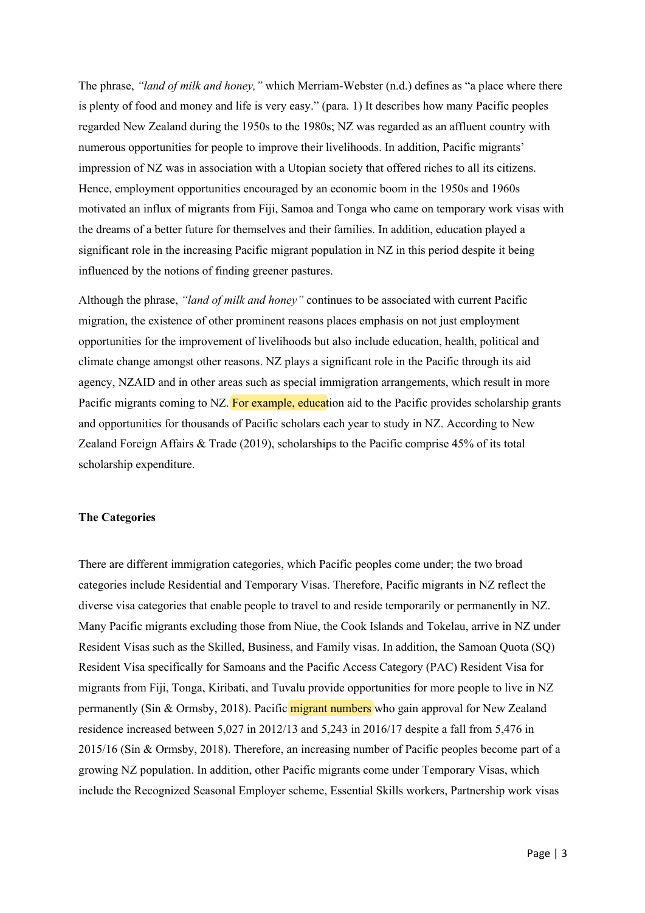The phrase, *"land of milk and honey,"* which Merriam-Webster (n.d.) defines as "a place where there is plenty of food and money and life is very easy." (para. 1) It describes how many Pacific peoples regarded New Zealand during the 1950s to the 1980s; NZ was regarded as an affluent country with numerous opportunities for people to improve their livelihoods. In addition, Pacific migrants' impression of NZ was in association with a Utopian society that offered riches to all its citizens. Hence, employment opportunities encouraged by an economic boom in the 1950s and 1960s motivated an influx of migrants from Fiji, Samoa and Tonga who came on temporary work visas with the dreams of a better future for themselves and their families. In addition, education played a significant role in the increasing Pacific migrant population in NZ in this period despite it being influenced by the notions of finding greener pastures.

Although the phrase, *"land of milk and honey"* continues to be associated with current Pacific migration, the existence of other prominent reasons places emphasis on not just employment opportunities for the improvement of livelihoods but also include education, health, political and climate change amongst other reasons. NZ plays a significant role in the Pacific through its aid agency, NZAID and in other areas such as special immigration arrangements, which result in more Pacific migrants coming to NZ. For example, education aid to the Pacific provides scholarship grants and opportunities for thousands of Pacific scholars each year to study in NZ. According to New Zealand Foreign Affairs & Trade (2019), scholarships to the Pacific comprise 45% of its total scholarship expenditure.

## **The Categories**

There are different immigration categories, which Pacific peoples come under; the two broad categories include Residential and Temporary Visas. Therefore, Pacific migrants in NZ reflect the diverse visa categories that enable people to travel to and reside temporarily or permanently in NZ. Many Pacific migrants excluding those from Niue, the Cook Islands and Tokelau, arrive in NZ under Resident Visas such as the Skilled, Business, and Family visas. In addition, the Samoan Quota (SQ) Resident Visa specifically for Samoans and the Pacific Access Category (PAC) Resident Visa for migrants from Fiji, Tonga, Kiribati, and Tuvalu provide opportunities for more people to live in NZ permanently (Sin & Ormsby, 2018). Pacific migrant numbers who gain approval for New Zealand residence increased between 5,027 in 2012/13 and 5,243 in 2016/17 despite a fall from 5,476 in 2015/16 (Sin & Ormsby, 2018). Therefore, an increasing number of Pacific peoples become part of a growing NZ population. In addition, other Pacific migrants come under Temporary Visas, which include the Recognized Seasonal Employer scheme, Essential Skills workers, Partnership work visas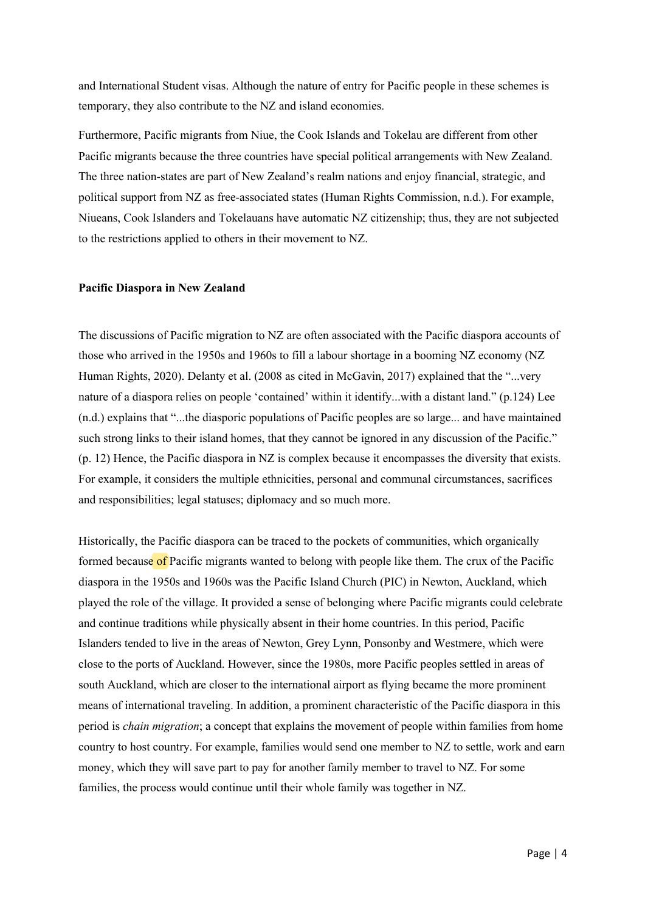and International Student visas. Although the nature of entry for Pacific people in these schemes is temporary, they also contribute to the NZ and island economies.

Furthermore, Pacific migrants from Niue, the Cook Islands and Tokelau are different from other Pacific migrants because the three countries have special political arrangements with New Zealand. The three nation-states are part of New Zealand's realm nations and enjoy financial, strategic, and political support from NZ as free-associated states (Human Rights Commission, n.d.). For example, Niueans, Cook Islanders and Tokelauans have automatic NZ citizenship; thus, they are not subjected to the restrictions applied to others in their movement to NZ.

#### **Pacific Diaspora in New Zealand**

The discussions of Pacific migration to NZ are often associated with the Pacific diaspora accounts of those who arrived in the 1950s and 1960s to fill a labour shortage in a booming NZ economy (NZ Human Rights, 2020). Delanty et al. (2008 as cited in McGavin, 2017) explained that the "...very nature of a diaspora relies on people 'contained' within it identify...with a distant land." (p.124) Lee (n.d.) explains that "...the diasporic populations of Pacific peoples are so large... and have maintained such strong links to their island homes, that they cannot be ignored in any discussion of the Pacific." (p. 12) Hence, the Pacific diaspora in NZ is complex because it encompasses the diversity that exists. For example, it considers the multiple ethnicities, personal and communal circumstances, sacrifices and responsibilities; legal statuses; diplomacy and so much more.

Historically, the Pacific diaspora can be traced to the pockets of communities, which organically formed because of Pacific migrants wanted to belong with people like them. The crux of the Pacific diaspora in the 1950s and 1960s was the Pacific Island Church (PIC) in Newton, Auckland, which played the role of the village. It provided a sense of belonging where Pacific migrants could celebrate and continue traditions while physically absent in their home countries. In this period, Pacific Islanders tended to live in the areas of Newton, Grey Lynn, Ponsonby and Westmere, which were close to the ports of Auckland. However, since the 1980s, more Pacific peoples settled in areas of south Auckland, which are closer to the international airport as flying became the more prominent means of international traveling. In addition, a prominent characteristic of the Pacific diaspora in this period is *chain migration*; a concept that explains the movement of people within families from home country to host country. For example, families would send one member to NZ to settle, work and earn money, which they will save part to pay for another family member to travel to NZ. For some families, the process would continue until their whole family was together in NZ.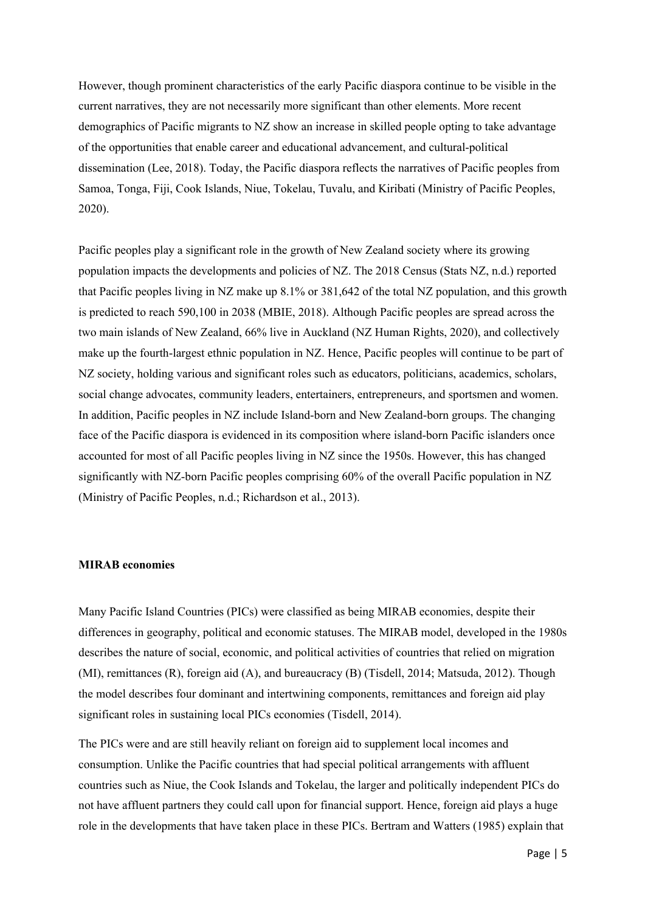However, though prominent characteristics of the early Pacific diaspora continue to be visible in the current narratives, they are not necessarily more significant than other elements. More recent demographics of Pacific migrants to NZ show an increase in skilled people opting to take advantage of the opportunities that enable career and educational advancement, and cultural-political dissemination (Lee, 2018). Today, the Pacific diaspora reflects the narratives of Pacific peoples from Samoa, Tonga, Fiji, Cook Islands, Niue, Tokelau, Tuvalu, and Kiribati (Ministry of Pacific Peoples, 2020).

Pacific peoples play a significant role in the growth of New Zealand society where its growing population impacts the developments and policies of NZ. The 2018 Census (Stats NZ, n.d.) reported that Pacific peoples living in NZ make up 8.1% or 381,642 of the total NZ population, and this growth is predicted to reach 590,100 in 2038 (MBIE, 2018). Although Pacific peoples are spread across the two main islands of New Zealand, 66% live in Auckland (NZ Human Rights, 2020), and collectively make up the fourth-largest ethnic population in NZ. Hence, Pacific peoples will continue to be part of NZ society, holding various and significant roles such as educators, politicians, academics, scholars, social change advocates, community leaders, entertainers, entrepreneurs, and sportsmen and women. In addition, Pacific peoples in NZ include Island-born and New Zealand-born groups. The changing face of the Pacific diaspora is evidenced in its composition where island-born Pacific islanders once accounted for most of all Pacific peoples living in NZ since the 1950s. However, this has changed significantly with NZ-born Pacific peoples comprising 60% of the overall Pacific population in NZ (Ministry of Pacific Peoples, n.d.; Richardson et al., 2013).

## **MIRAB economies**

Many Pacific Island Countries (PICs) were classified as being MIRAB economies, despite their differences in geography, political and economic statuses. The MIRAB model, developed in the 1980s describes the nature of social, economic, and political activities of countries that relied on migration (MI), remittances (R), foreign aid (A), and bureaucracy (B) (Tisdell, 2014; Matsuda, 2012). Though the model describes four dominant and intertwining components, remittances and foreign aid play significant roles in sustaining local PICs economies (Tisdell, 2014).

The PICs were and are still heavily reliant on foreign aid to supplement local incomes and consumption. Unlike the Pacific countries that had special political arrangements with affluent countries such as Niue, the Cook Islands and Tokelau, the larger and politically independent PICs do not have affluent partners they could call upon for financial support. Hence, foreign aid plays a huge role in the developments that have taken place in these PICs. Bertram and Watters (1985) explain that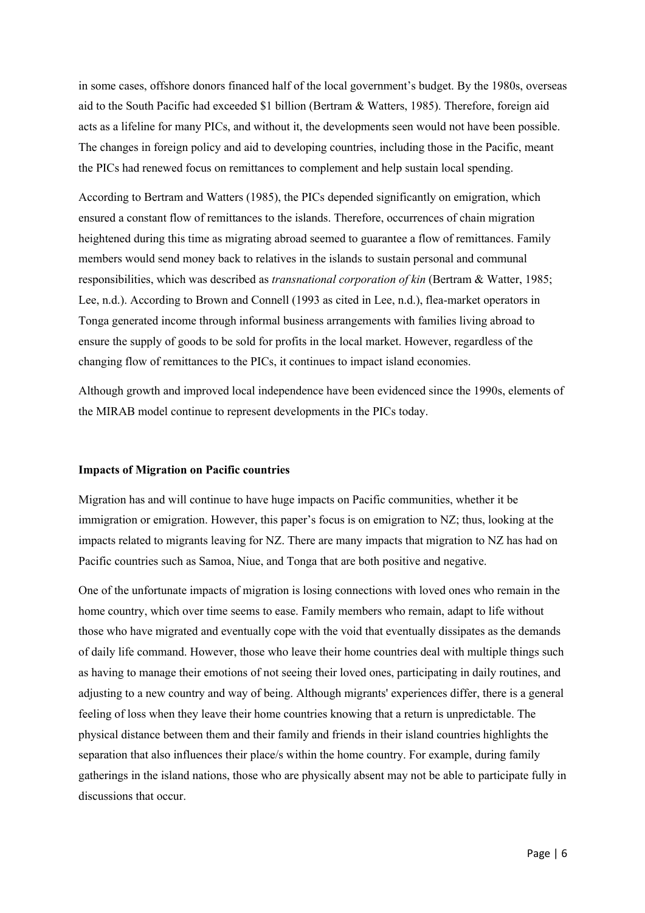in some cases, offshore donors financed half of the local government's budget. By the 1980s, overseas aid to the South Pacific had exceeded \$1 billion (Bertram & Watters, 1985). Therefore, foreign aid acts as a lifeline for many PICs, and without it, the developments seen would not have been possible. The changes in foreign policy and aid to developing countries, including those in the Pacific, meant the PICs had renewed focus on remittances to complement and help sustain local spending.

According to Bertram and Watters (1985), the PICs depended significantly on emigration, which ensured a constant flow of remittances to the islands. Therefore, occurrences of chain migration heightened during this time as migrating abroad seemed to guarantee a flow of remittances. Family members would send money back to relatives in the islands to sustain personal and communal responsibilities, which was described as *transnational corporation of kin* (Bertram & Watter, 1985; Lee, n.d.). According to Brown and Connell (1993 as cited in Lee, n.d.), flea-market operators in Tonga generated income through informal business arrangements with families living abroad to ensure the supply of goods to be sold for profits in the local market. However, regardless of the changing flow of remittances to the PICs, it continues to impact island economies.

Although growth and improved local independence have been evidenced since the 1990s, elements of the MIRAB model continue to represent developments in the PICs today.

#### **Impacts of Migration on Pacific countries**

Migration has and will continue to have huge impacts on Pacific communities, whether it be immigration or emigration. However, this paper's focus is on emigration to NZ; thus, looking at the impacts related to migrants leaving for NZ. There are many impacts that migration to NZ has had on Pacific countries such as Samoa, Niue, and Tonga that are both positive and negative.

One of the unfortunate impacts of migration is losing connections with loved ones who remain in the home country, which over time seems to ease. Family members who remain, adapt to life without those who have migrated and eventually cope with the void that eventually dissipates as the demands of daily life command. However, those who leave their home countries deal with multiple things such as having to manage their emotions of not seeing their loved ones, participating in daily routines, and adjusting to a new country and way of being. Although migrants' experiences differ, there is a general feeling of loss when they leave their home countries knowing that a return is unpredictable. The physical distance between them and their family and friends in their island countries highlights the separation that also influences their place/s within the home country. For example, during family gatherings in the island nations, those who are physically absent may not be able to participate fully in discussions that occur.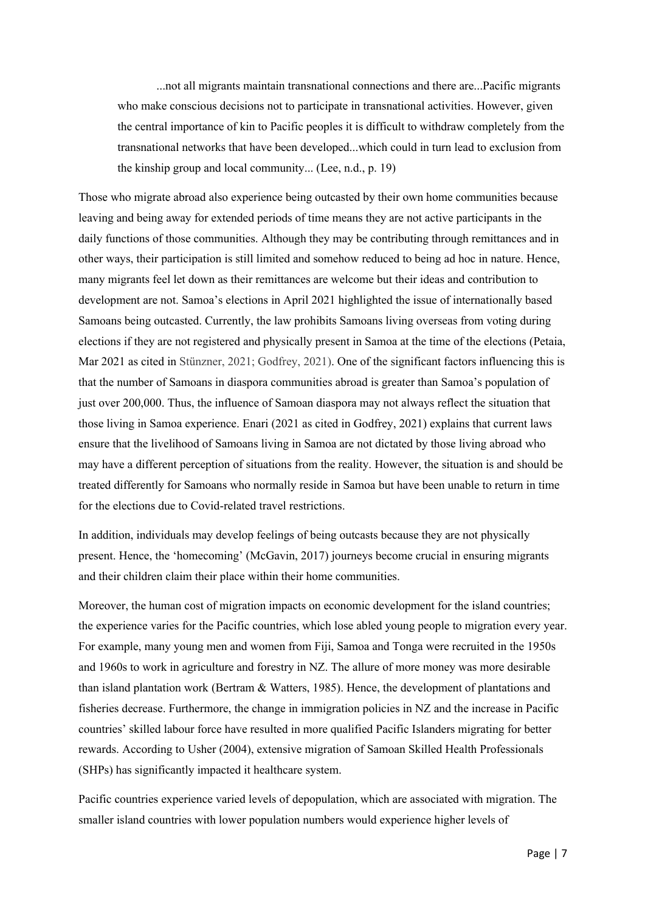...not all migrants maintain transnational connections and there are...Pacific migrants who make conscious decisions not to participate in transnational activities. However, given the central importance of kin to Pacific peoples it is difficult to withdraw completely from the transnational networks that have been developed...which could in turn lead to exclusion from the kinship group and local community... (Lee, n.d., p. 19)

Those who migrate abroad also experience being outcasted by their own home communities because leaving and being away for extended periods of time means they are not active participants in the daily functions of those communities. Although they may be contributing through remittances and in other ways, their participation is still limited and somehow reduced to being ad hoc in nature. Hence, many migrants feel let down as their remittances are welcome but their ideas and contribution to development are not. Samoa's elections in April 2021 highlighted the issue of internationally based Samoans being outcasted. Currently, the law prohibits Samoans living overseas from voting during elections if they are not registered and physically present in Samoa at the time of the elections (Petaia, Mar 2021 as cited in Stünzner, 2021; Godfrey, 2021). One of the significant factors influencing this is that the number of Samoans in diaspora communities abroad is greater than Samoa's population of just over 200,000. Thus, the influence of Samoan diaspora may not always reflect the situation that those living in Samoa experience. Enari (2021 as cited in Godfrey, 2021) explains that current laws ensure that the livelihood of Samoans living in Samoa are not dictated by those living abroad who may have a different perception of situations from the reality. However, the situation is and should be treated differently for Samoans who normally reside in Samoa but have been unable to return in time for the elections due to Covid-related travel restrictions.

In addition, individuals may develop feelings of being outcasts because they are not physically present. Hence, the 'homecoming' (McGavin, 2017) journeys become crucial in ensuring migrants and their children claim their place within their home communities.

Moreover, the human cost of migration impacts on economic development for the island countries; the experience varies for the Pacific countries, which lose abled young people to migration every year. For example, many young men and women from Fiji, Samoa and Tonga were recruited in the 1950s and 1960s to work in agriculture and forestry in NZ. The allure of more money was more desirable than island plantation work (Bertram & Watters, 1985). Hence, the development of plantations and fisheries decrease. Furthermore, the change in immigration policies in NZ and the increase in Pacific countries' skilled labour force have resulted in more qualified Pacific Islanders migrating for better rewards. According to Usher (2004), extensive migration of Samoan Skilled Health Professionals (SHPs) has significantly impacted it healthcare system.

Pacific countries experience varied levels of depopulation, which are associated with migration. The smaller island countries with lower population numbers would experience higher levels of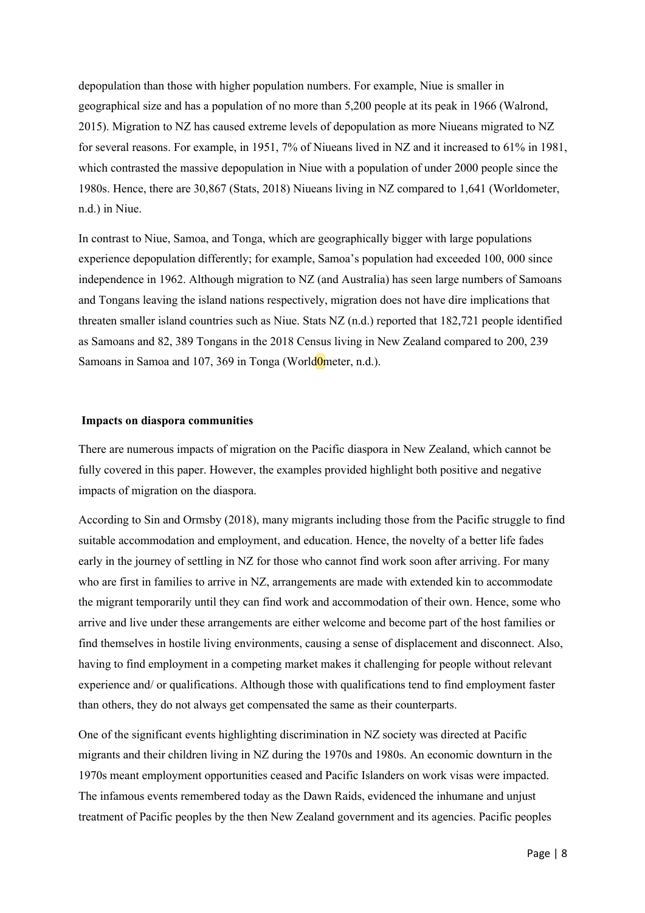depopulation than those with higher population numbers. For example, Niue is smaller in geographical size and has a population of no more than 5,200 people at its peak in 1966 (Walrond, 2015). Migration to NZ has caused extreme levels of depopulation as more Niueans migrated to NZ for several reasons. For example, in 1951, 7% of Niueans lived in NZ and it increased to 61% in 1981, which contrasted the massive depopulation in Niue with a population of under 2000 people since the 1980s. Hence, there are 30,867 (Stats, 2018) Niueans living in NZ compared to 1,641 (Worldometer, n.d.) in Niue.

In contrast to Niue, Samoa, and Tonga, which are geographically bigger with large populations experience depopulation differently; for example, Samoa's population had exceeded 100, 000 since independence in 1962. Although migration to NZ (and Australia) has seen large numbers of Samoans and Tongans leaving the island nations respectively, migration does not have dire implications that threaten smaller island countries such as Niue. Stats NZ (n.d.) reported that 182,721 people identified as Samoans and 82, 389 Tongans in the 2018 Census living in New Zealand compared to 200, 239 Samoans in Samoa and 107, 369 in Tonga (WorldOmeter, n.d.).

## **Impacts on diaspora communities**

There are numerous impacts of migration on the Pacific diaspora in New Zealand, which cannot be fully covered in this paper. However, the examples provided highlight both positive and negative impacts of migration on the diaspora.

According to Sin and Ormsby (2018), many migrants including those from the Pacific struggle to find suitable accommodation and employment, and education. Hence, the novelty of a better life fades early in the journey of settling in NZ for those who cannot find work soon after arriving. For many who are first in families to arrive in NZ, arrangements are made with extended kin to accommodate the migrant temporarily until they can find work and accommodation of their own. Hence, some who arrive and live under these arrangements are either welcome and become part of the host families or find themselves in hostile living environments, causing a sense of displacement and disconnect. Also, having to find employment in a competing market makes it challenging for people without relevant experience and/ or qualifications. Although those with qualifications tend to find employment faster than others, they do not always get compensated the same as their counterparts.

One of the significant events highlighting discrimination in NZ society was directed at Pacific migrants and their children living in NZ during the 1970s and 1980s. An economic downturn in the 1970s meant employment opportunities ceased and Pacific Islanders on work visas were impacted. The infamous events remembered today as the Dawn Raids, evidenced the inhumane and unjust treatment of Pacific peoples by the then New Zealand government and its agencies. Pacific peoples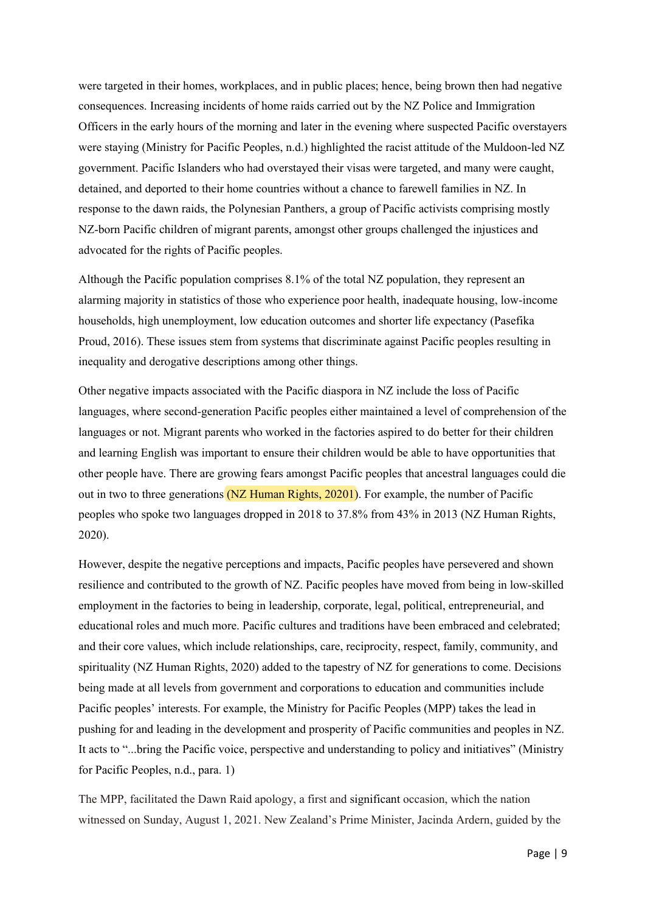were targeted in their homes, workplaces, and in public places; hence, being brown then had negative consequences. Increasing incidents of home raids carried out by the NZ Police and Immigration Officers in the early hours of the morning and later in the evening where suspected Pacific overstayers were staying (Ministry for Pacific Peoples, n.d.) highlighted the racist attitude of the Muldoon-led NZ government. Pacific Islanders who had overstayed their visas were targeted, and many were caught, detained, and deported to their home countries without a chance to farewell families in NZ. In response to the dawn raids, the Polynesian Panthers, a group of Pacific activists comprising mostly NZ-born Pacific children of migrant parents, amongst other groups challenged the injustices and advocated for the rights of Pacific peoples.

Although the Pacific population comprises 8.1% of the total NZ population, they represent an alarming majority in statistics of those who experience poor health, inadequate housing, low-income households, high unemployment, low education outcomes and shorter life expectancy (Pasefika Proud, 2016). These issues stem from systems that discriminate against Pacific peoples resulting in inequality and derogative descriptions among other things.

Other negative impacts associated with the Pacific diaspora in NZ include the loss of Pacific languages, where second-generation Pacific peoples either maintained a level of comprehension of the languages or not. Migrant parents who worked in the factories aspired to do better for their children and learning English was important to ensure their children would be able to have opportunities that other people have. There are growing fears amongst Pacific peoples that ancestral languages could die out in two to three generations (NZ Human Rights, 20201). For example, the number of Pacific peoples who spoke two languages dropped in 2018 to 37.8% from 43% in 2013 (NZ Human Rights, 2020).

However, despite the negative perceptions and impacts, Pacific peoples have persevered and shown resilience and contributed to the growth of NZ. Pacific peoples have moved from being in low-skilled employment in the factories to being in leadership, corporate, legal, political, entrepreneurial, and educational roles and much more. Pacific cultures and traditions have been embraced and celebrated; and their core values, which include relationships, care, reciprocity, respect, family, community, and spirituality (NZ Human Rights, 2020) added to the tapestry of NZ for generations to come. Decisions being made at all levels from government and corporations to education and communities include Pacific peoples' interests. For example, the Ministry for Pacific Peoples (MPP) takes the lead in pushing for and leading in the development and prosperity of Pacific communities and peoples in NZ. It acts to "...bring the Pacific voice, perspective and understanding to policy and initiatives" (Ministry for Pacific Peoples, n.d., para. 1)

The MPP, facilitated the Dawn Raid apology, a first and significant occasion, which the nation witnessed on Sunday, August 1, 2021. New Zealand's Prime Minister, Jacinda Ardern, guided by the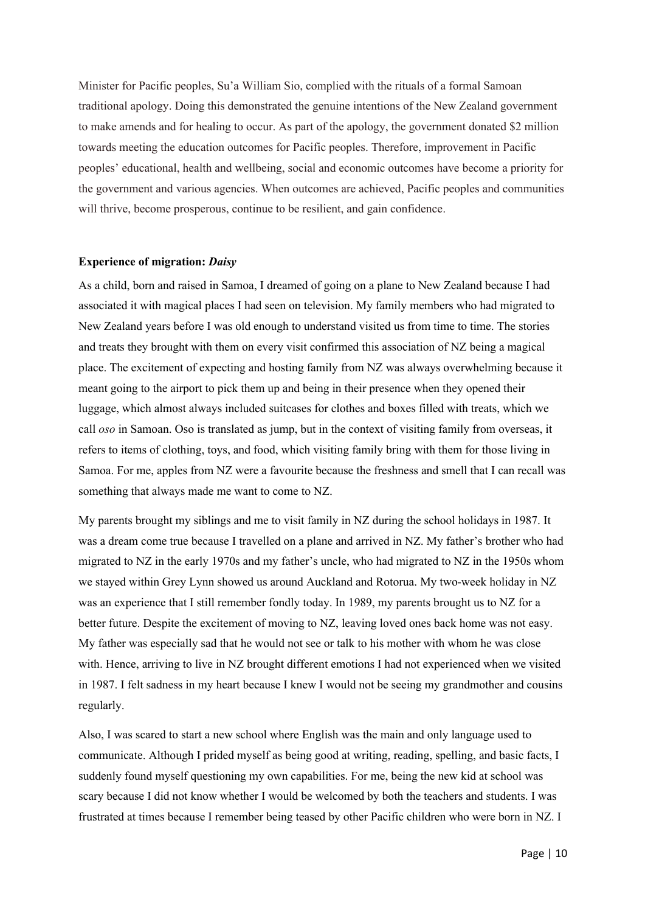Minister for Pacific peoples, Su'a William Sio, complied with the rituals of a formal Samoan traditional apology. Doing this demonstrated the genuine intentions of the New Zealand government to make amends and for healing to occur. As part of the apology, the government donated \$2 million towards meeting the education outcomes for Pacific peoples. Therefore, improvement in Pacific peoples' educational, health and wellbeing, social and economic outcomes have become a priority for the government and various agencies. When outcomes are achieved, Pacific peoples and communities will thrive, become prosperous, continue to be resilient, and gain confidence.

#### **Experience of migration:** *Daisy*

As a child, born and raised in Samoa, I dreamed of going on a plane to New Zealand because I had associated it with magical places I had seen on television. My family members who had migrated to New Zealand years before I was old enough to understand visited us from time to time. The stories and treats they brought with them on every visit confirmed this association of NZ being a magical place. The excitement of expecting and hosting family from NZ was always overwhelming because it meant going to the airport to pick them up and being in their presence when they opened their luggage, which almost always included suitcases for clothes and boxes filled with treats, which we call *oso* in Samoan. Oso is translated as jump, but in the context of visiting family from overseas, it refers to items of clothing, toys, and food, which visiting family bring with them for those living in Samoa. For me, apples from NZ were a favourite because the freshness and smell that I can recall was something that always made me want to come to NZ.

My parents brought my siblings and me to visit family in NZ during the school holidays in 1987. It was a dream come true because I travelled on a plane and arrived in NZ. My father's brother who had migrated to NZ in the early 1970s and my father's uncle, who had migrated to NZ in the 1950s whom we stayed within Grey Lynn showed us around Auckland and Rotorua. My two-week holiday in NZ was an experience that I still remember fondly today. In 1989, my parents brought us to NZ for a better future. Despite the excitement of moving to NZ, leaving loved ones back home was not easy. My father was especially sad that he would not see or talk to his mother with whom he was close with. Hence, arriving to live in NZ brought different emotions I had not experienced when we visited in 1987. I felt sadness in my heart because I knew I would not be seeing my grandmother and cousins regularly.

Also, I was scared to start a new school where English was the main and only language used to communicate. Although I prided myself as being good at writing, reading, spelling, and basic facts, I suddenly found myself questioning my own capabilities. For me, being the new kid at school was scary because I did not know whether I would be welcomed by both the teachers and students. I was frustrated at times because I remember being teased by other Pacific children who were born in NZ. I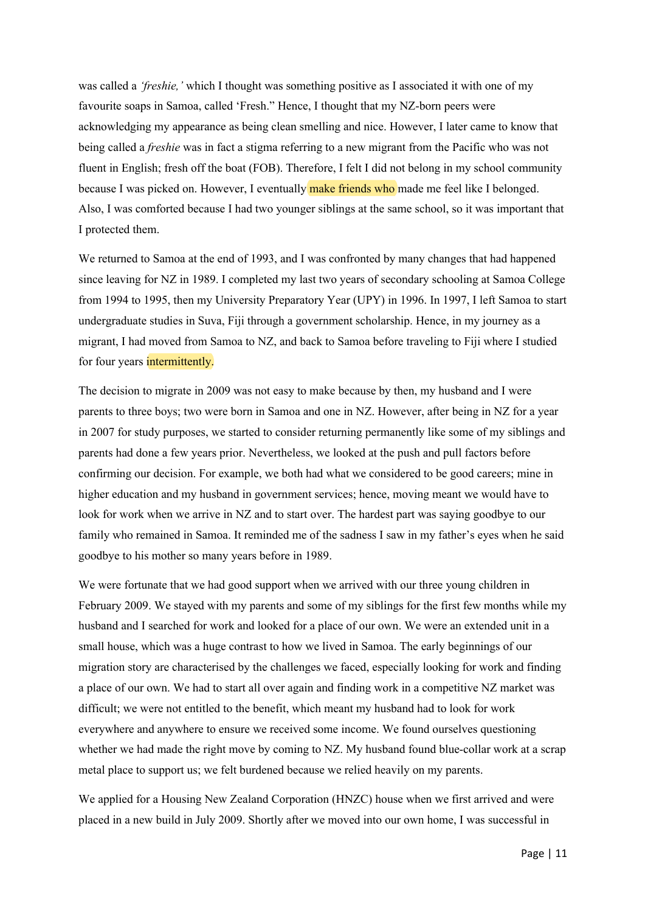was called a *'freshie,'* which I thought was something positive as I associated it with one of my favourite soaps in Samoa, called 'Fresh." Hence, I thought that my NZ-born peers were acknowledging my appearance as being clean smelling and nice. However, I later came to know that being called a *freshie* was in fact a stigma referring to a new migrant from the Pacific who was not fluent in English; fresh off the boat (FOB). Therefore, I felt I did not belong in my school community because I was picked on. However, I eventually make friends who made me feel like I belonged. Also, I was comforted because I had two younger siblings at the same school, so it was important that I protected them.

We returned to Samoa at the end of 1993, and I was confronted by many changes that had happened since leaving for NZ in 1989. I completed my last two years of secondary schooling at Samoa College from 1994 to 1995, then my University Preparatory Year (UPY) in 1996. In 1997, I left Samoa to start undergraduate studies in Suva, Fiji through a government scholarship. Hence, in my journey as a migrant, I had moved from Samoa to NZ, and back to Samoa before traveling to Fiji where I studied for four years **intermittently**.

The decision to migrate in 2009 was not easy to make because by then, my husband and I were parents to three boys; two were born in Samoa and one in NZ. However, after being in NZ for a year in 2007 for study purposes, we started to consider returning permanently like some of my siblings and parents had done a few years prior. Nevertheless, we looked at the push and pull factors before confirming our decision. For example, we both had what we considered to be good careers; mine in higher education and my husband in government services; hence, moving meant we would have to look for work when we arrive in NZ and to start over. The hardest part was saying goodbye to our family who remained in Samoa. It reminded me of the sadness I saw in my father's eyes when he said goodbye to his mother so many years before in 1989.

We were fortunate that we had good support when we arrived with our three young children in February 2009. We stayed with my parents and some of my siblings for the first few months while my husband and I searched for work and looked for a place of our own. We were an extended unit in a small house, which was a huge contrast to how we lived in Samoa. The early beginnings of our migration story are characterised by the challenges we faced, especially looking for work and finding a place of our own. We had to start all over again and finding work in a competitive NZ market was difficult; we were not entitled to the benefit, which meant my husband had to look for work everywhere and anywhere to ensure we received some income. We found ourselves questioning whether we had made the right move by coming to NZ. My husband found blue-collar work at a scrap metal place to support us; we felt burdened because we relied heavily on my parents.

We applied for a Housing New Zealand Corporation (HNZC) house when we first arrived and were placed in a new build in July 2009. Shortly after we moved into our own home, I was successful in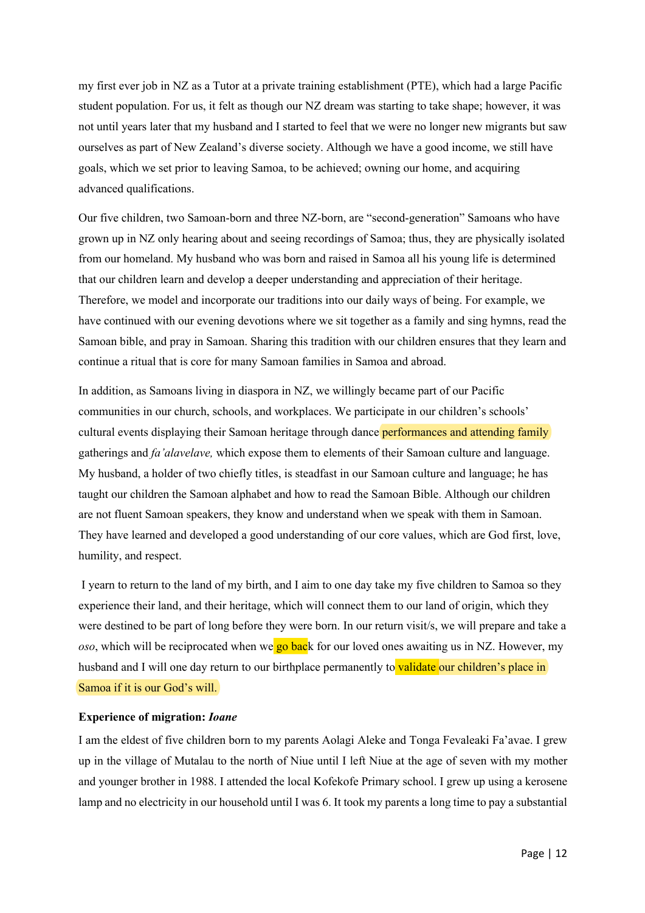my first ever job in NZ as a Tutor at a private training establishment (PTE), which had a large Pacific student population. For us, it felt as though our NZ dream was starting to take shape; however, it was not until years later that my husband and I started to feel that we were no longer new migrants but saw ourselves as part of New Zealand's diverse society. Although we have a good income, we still have goals, which we set prior to leaving Samoa, to be achieved; owning our home, and acquiring advanced qualifications.

Our five children, two Samoan-born and three NZ-born, are "second-generation" Samoans who have grown up in NZ only hearing about and seeing recordings of Samoa; thus, they are physically isolated from our homeland. My husband who was born and raised in Samoa all his young life is determined that our children learn and develop a deeper understanding and appreciation of their heritage. Therefore, we model and incorporate our traditions into our daily ways of being. For example, we have continued with our evening devotions where we sit together as a family and sing hymns, read the Samoan bible, and pray in Samoan. Sharing this tradition with our children ensures that they learn and continue a ritual that is core for many Samoan families in Samoa and abroad.

In addition, as Samoans living in diaspora in NZ, we willingly became part of our Pacific communities in our church, schools, and workplaces. We participate in our children's schools' cultural events displaying their Samoan heritage through dance **performances and attending family** gatherings and *fa'alavelave,* which expose them to elements of their Samoan culture and language. My husband, a holder of two chiefly titles, is steadfast in our Samoan culture and language; he has taught our children the Samoan alphabet and how to read the Samoan Bible. Although our children are not fluent Samoan speakers, they know and understand when we speak with them in Samoan. They have learned and developed a good understanding of our core values, which are God first, love, humility, and respect.

I yearn to return to the land of my birth, and I aim to one day take my five children to Samoa so they experience their land, and their heritage, which will connect them to our land of origin, which they were destined to be part of long before they were born. In our return visit/s, we will prepare and take a *oso*, which will be reciprocated when we go back for our loved ones awaiting us in NZ. However, my husband and I will one day return to our birthplace permanently to validate our children's place in Samoa if it is our God's will.

#### **Experience of migration:** *Ioane*

I am the eldest of five children born to my parents Aolagi Aleke and Tonga Fevaleaki Fa'avae. I grew up in the village of Mutalau to the north of Niue until I left Niue at the age of seven with my mother and younger brother in 1988. I attended the local Kofekofe Primary school. I grew up using a kerosene lamp and no electricity in our household until I was 6. It took my parents a long time to pay a substantial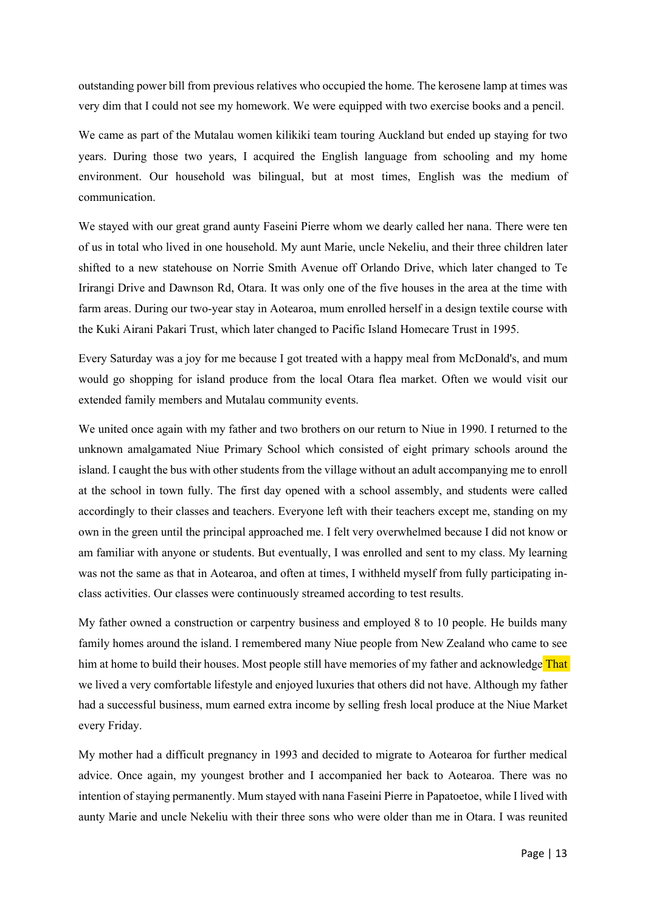outstanding power bill from previous relatives who occupied the home. The kerosene lamp at times was very dim that I could not see my homework. We were equipped with two exercise books and a pencil.

We came as part of the Mutalau women kilikiki team touring Auckland but ended up staying for two years. During those two years, I acquired the English language from schooling and my home environment. Our household was bilingual, but at most times, English was the medium of communication.

We stayed with our great grand aunty Faseini Pierre whom we dearly called her nana. There were ten of us in total who lived in one household. My aunt Marie, uncle Nekeliu, and their three children later shifted to a new statehouse on Norrie Smith Avenue off Orlando Drive, which later changed to Te Irirangi Drive and Dawnson Rd, Otara. It was only one of the five houses in the area at the time with farm areas. During our two-year stay in Aotearoa, mum enrolled herself in a design textile course with the Kuki Airani Pakari Trust, which later changed to Pacific Island Homecare Trust in 1995.

Every Saturday was a joy for me because I got treated with a happy meal from McDonald's, and mum would go shopping for island produce from the local Otara flea market. Often we would visit our extended family members and Mutalau community events.

We united once again with my father and two brothers on our return to Niue in 1990. I returned to the unknown amalgamated Niue Primary School which consisted of eight primary schools around the island. I caught the bus with other students from the village without an adult accompanying me to enroll at the school in town fully. The first day opened with a school assembly, and students were called accordingly to their classes and teachers. Everyone left with their teachers except me, standing on my own in the green until the principal approached me. I felt very overwhelmed because I did not know or am familiar with anyone or students. But eventually, I was enrolled and sent to my class. My learning was not the same as that in Aotearoa, and often at times, I withheld myself from fully participating inclass activities. Our classes were continuously streamed according to test results.

My father owned a construction or carpentry business and employed 8 to 10 people. He builds many family homes around the island. I remembered many Niue people from New Zealand who came to see him at home to build their houses. Most people still have memories of my father and acknowledge That we lived a very comfortable lifestyle and enjoyed luxuries that others did not have. Although my father had a successful business, mum earned extra income by selling fresh local produce at the Niue Market every Friday.

My mother had a difficult pregnancy in 1993 and decided to migrate to Aotearoa for further medical advice. Once again, my youngest brother and I accompanied her back to Aotearoa. There was no intention of staying permanently. Mum stayed with nana Faseini Pierre in Papatoetoe, while I lived with aunty Marie and uncle Nekeliu with their three sons who were older than me in Otara. I was reunited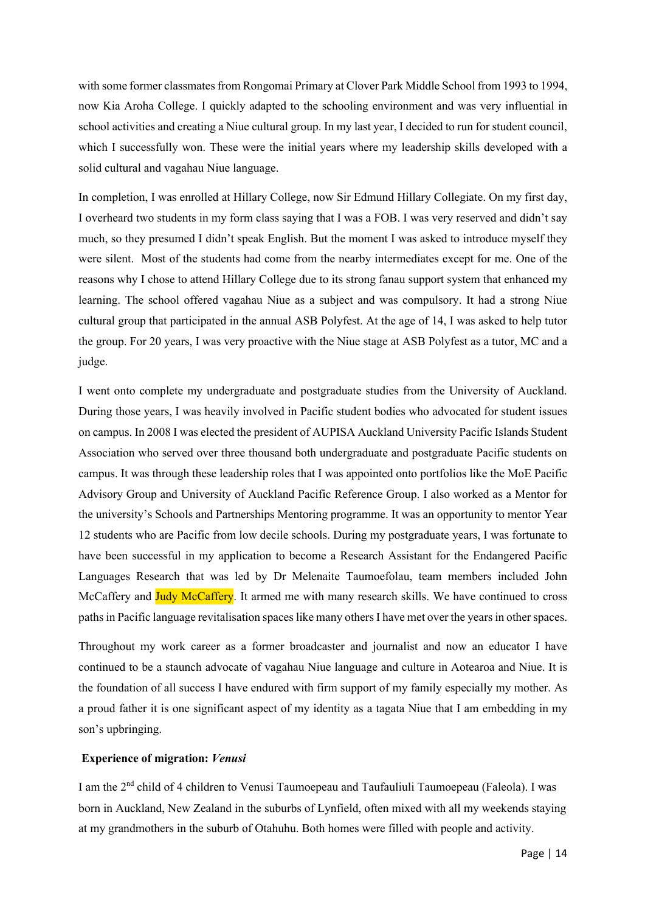with some former classmates from Rongomai Primary at Clover Park Middle School from 1993 to 1994, now Kia Aroha College. I quickly adapted to the schooling environment and was very influential in school activities and creating a Niue cultural group. In my last year, I decided to run for student council, which I successfully won. These were the initial years where my leadership skills developed with a solid cultural and vagahau Niue language.

In completion, I was enrolled at Hillary College, now Sir Edmund Hillary Collegiate. On my first day, I overheard two students in my form class saying that I was a FOB. I was very reserved and didn't say much, so they presumed I didn't speak English. But the moment I was asked to introduce myself they were silent. Most of the students had come from the nearby intermediates except for me. One of the reasons why I chose to attend Hillary College due to its strong fanau support system that enhanced my learning. The school offered vagahau Niue as a subject and was compulsory. It had a strong Niue cultural group that participated in the annual ASB Polyfest. At the age of 14, I was asked to help tutor the group. For 20 years, I was very proactive with the Niue stage at ASB Polyfest as a tutor, MC and a judge.

I went onto complete my undergraduate and postgraduate studies from the University of Auckland. During those years, I was heavily involved in Pacific student bodies who advocated for student issues on campus. In 2008 I was elected the president of AUPISA Auckland University Pacific Islands Student Association who served over three thousand both undergraduate and postgraduate Pacific students on campus. It was through these leadership roles that I was appointed onto portfolios like the MoE Pacific Advisory Group and University of Auckland Pacific Reference Group. I also worked as a Mentor for the university's Schools and Partnerships Mentoring programme. It was an opportunity to mentor Year 12 students who are Pacific from low decile schools. During my postgraduate years, I was fortunate to have been successful in my application to become a Research Assistant for the Endangered Pacific Languages Research that was led by Dr Melenaite Taumoefolau, team members included John McCaffery and Judy McCaffery. It armed me with many research skills. We have continued to cross paths in Pacific language revitalisation spaceslike many others I have met over the years in other spaces.

Throughout my work career as a former broadcaster and journalist and now an educator I have continued to be a staunch advocate of vagahau Niue language and culture in Aotearoa and Niue. It is the foundation of all success I have endured with firm support of my family especially my mother. As a proud father it is one significant aspect of my identity as a tagata Niue that I am embedding in my son's upbringing.

## **Experience of migration:** *Venusi*

I am the 2nd child of 4 children to Venusi Taumoepeau and Taufauliuli Taumoepeau (Faleola). I was born in Auckland, New Zealand in the suburbs of Lynfield, often mixed with all my weekends staying at my grandmothers in the suburb of Otahuhu. Both homes were filled with people and activity.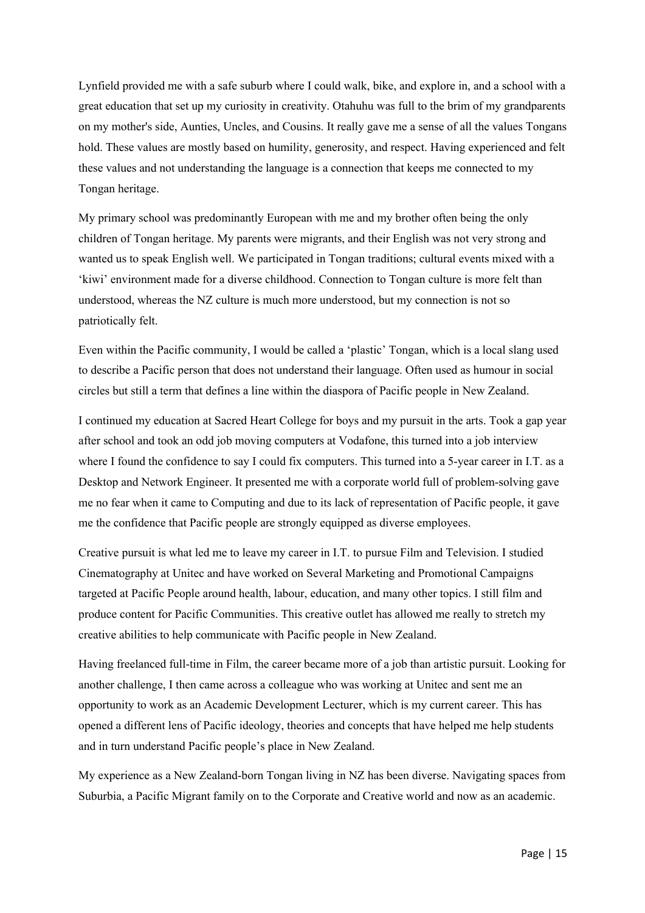Lynfield provided me with a safe suburb where I could walk, bike, and explore in, and a school with a great education that set up my curiosity in creativity. Otahuhu was full to the brim of my grandparents on my mother's side, Aunties, Uncles, and Cousins. It really gave me a sense of all the values Tongans hold. These values are mostly based on humility, generosity, and respect. Having experienced and felt these values and not understanding the language is a connection that keeps me connected to my Tongan heritage.

My primary school was predominantly European with me and my brother often being the only children of Tongan heritage. My parents were migrants, and their English was not very strong and wanted us to speak English well. We participated in Tongan traditions; cultural events mixed with a 'kiwi' environment made for a diverse childhood. Connection to Tongan culture is more felt than understood, whereas the NZ culture is much more understood, but my connection is not so patriotically felt.

Even within the Pacific community, I would be called a 'plastic' Tongan, which is a local slang used to describe a Pacific person that does not understand their language. Often used as humour in social circles but still a term that defines a line within the diaspora of Pacific people in New Zealand.

I continued my education at Sacred Heart College for boys and my pursuit in the arts. Took a gap year after school and took an odd job moving computers at Vodafone, this turned into a job interview where I found the confidence to say I could fix computers. This turned into a 5-year career in I.T. as a Desktop and Network Engineer. It presented me with a corporate world full of problem-solving gave me no fear when it came to Computing and due to its lack of representation of Pacific people, it gave me the confidence that Pacific people are strongly equipped as diverse employees.

Creative pursuit is what led me to leave my career in I.T. to pursue Film and Television. I studied Cinematography at Unitec and have worked on Several Marketing and Promotional Campaigns targeted at Pacific People around health, labour, education, and many other topics. I still film and produce content for Pacific Communities. This creative outlet has allowed me really to stretch my creative abilities to help communicate with Pacific people in New Zealand.

Having freelanced full-time in Film, the career became more of a job than artistic pursuit. Looking for another challenge, I then came across a colleague who was working at Unitec and sent me an opportunity to work as an Academic Development Lecturer, which is my current career. This has opened a different lens of Pacific ideology, theories and concepts that have helped me help students and in turn understand Pacific people's place in New Zealand.

My experience as a New Zealand-born Tongan living in NZ has been diverse. Navigating spaces from Suburbia, a Pacific Migrant family on to the Corporate and Creative world and now as an academic.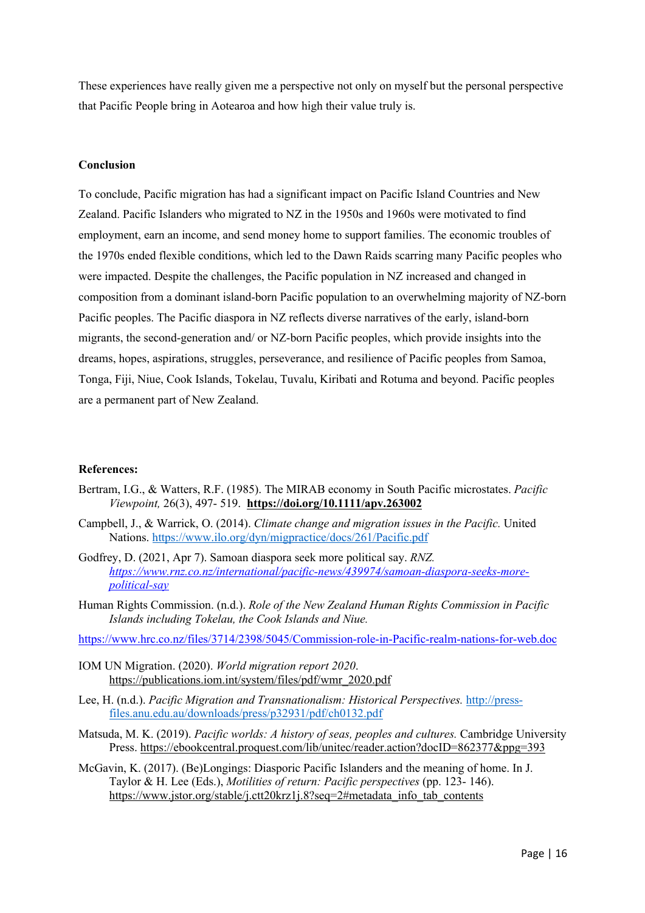These experiences have really given me a perspective not only on myself but the personal perspective that Pacific People bring in Aotearoa and how high their value truly is.

## **Conclusion**

To conclude, Pacific migration has had a significant impact on Pacific Island Countries and New Zealand. Pacific Islanders who migrated to NZ in the 1950s and 1960s were motivated to find employment, earn an income, and send money home to support families. The economic troubles of the 1970s ended flexible conditions, which led to the Dawn Raids scarring many Pacific peoples who were impacted. Despite the challenges, the Pacific population in NZ increased and changed in composition from a dominant island-born Pacific population to an overwhelming majority of NZ-born Pacific peoples. The Pacific diaspora in NZ reflects diverse narratives of the early, island-born migrants, the second-generation and/ or NZ-born Pacific peoples, which provide insights into the dreams, hopes, aspirations, struggles, perseverance, and resilience of Pacific peoples from Samoa, Tonga, Fiji, Niue, Cook Islands, Tokelau, Tuvalu, Kiribati and Rotuma and beyond. Pacific peoples are a permanent part of New Zealand.

## **References:**

- Bertram, I.G., & Watters, R.F. (1985). The MIRAB economy in South Pacific microstates. *Pacific Viewpoint,* 26(3), 497- 519. **https://doi.org/10.1111/apv.263002**
- Campbell, J., & Warrick, O. (2014). *Climate change and migration issues in the Pacific.* United Nations. https://www.ilo.org/dyn/migpractice/docs/261/Pacific.pdf
- Godfrey, D. (2021, Apr 7). Samoan diaspora seek more political say. *RNZ. https://www.rnz.co.nz/international/pacific-news/439974/samoan-diaspora-seeks-morepolitical-say*
- Human Rights Commission. (n.d.). *Role of the New Zealand Human Rights Commission in Pacific Islands including Tokelau, the Cook Islands and Niue.*

https://www.hrc.co.nz/files/3714/2398/5045/Commission-role-in-Pacific-realm-nations-for-web.doc

- IOM UN Migration. (2020). *World migration report 2020*. https://publications.iom.int/system/files/pdf/wmr\_2020.pdf
- Lee, H. (n.d.). *Pacific Migration and Transnationalism: Historical Perspectives.* http://pressfiles.anu.edu.au/downloads/press/p32931/pdf/ch0132.pdf
- Matsuda, M. K. (2019). *Pacific worlds: A history of seas, peoples and cultures.* Cambridge University Press. https://ebookcentral.proquest.com/lib/unitec/reader.action?docID=862377&ppg=393
- McGavin, K. (2017). (Be)Longings: Diasporic Pacific Islanders and the meaning of home. In J. Taylor & H. Lee (Eds.), *Motilities of return: Pacific perspectives* (pp. 123- 146). https://www.jstor.org/stable/j.ctt20krz1j.8?seq=2#metadata\_info\_tab\_contents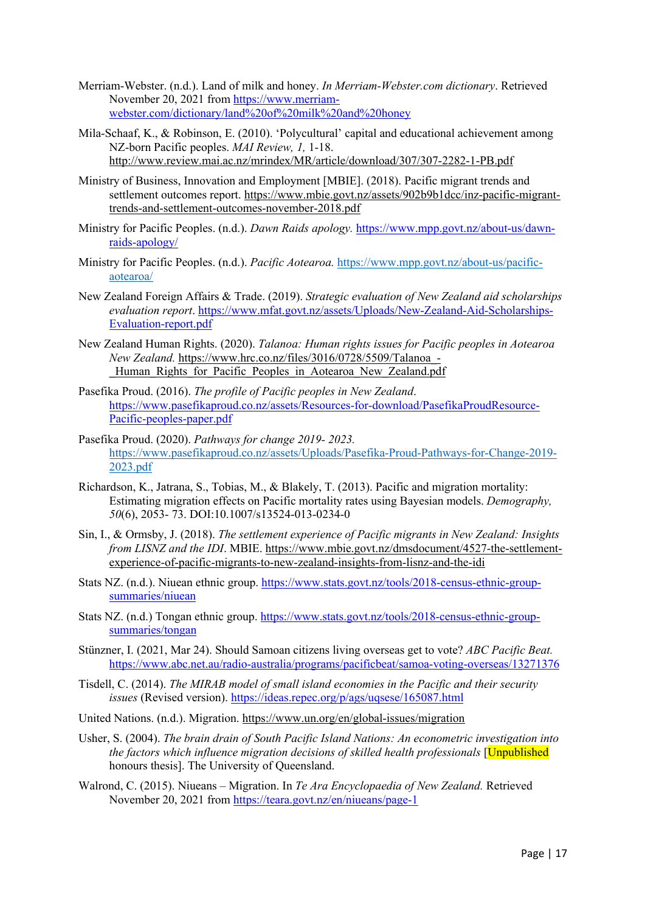- Merriam-Webster. (n.d.). Land of milk and honey. *In Merriam-Webster.com dictionary*. Retrieved November 20, 2021 from https://www.merriamwebster.com/dictionary/land%20of%20milk%20and%20honey
- Mila-Schaaf, K., & Robinson, E. (2010). 'Polycultural' capital and educational achievement among NZ-born Pacific peoples. *MAI Review, 1,* 1-18. http://www.review.mai.ac.nz/mrindex/MR/article/download/307/307-2282-1-PB.pdf
- Ministry of Business, Innovation and Employment [MBIE]. (2018). Pacific migrant trends and settlement outcomes report. https://www.mbie.govt.nz/assets/902b9b1dcc/inz-pacific-migranttrends-and-settlement-outcomes-november-2018.pdf
- Ministry for Pacific Peoples. (n.d.). *Dawn Raids apology.* https://www.mpp.govt.nz/about-us/dawnraids-apology/
- Ministry for Pacific Peoples. (n.d.). *Pacific Aotearoa.* https://www.mpp.govt.nz/about-us/pacificaotearoa/
- New Zealand Foreign Affairs & Trade. (2019). *Strategic evaluation of New Zealand aid scholarships evaluation report*. https://www.mfat.govt.nz/assets/Uploads/New-Zealand-Aid-Scholarships-Evaluation-report.pdf
- New Zealand Human Rights. (2020). *Talanoa: Human rights issues for Pacific peoples in Aotearoa New Zealand.* https://www.hrc.co.nz/files/3016/0728/5509/Talanoa\_- Human Rights for Pacific Peoples in Aotearoa New Zealand.pdf
- Pasefika Proud. (2016). *The profile of Pacific peoples in New Zealand*. https://www.pasefikaproud.co.nz/assets/Resources-for-download/PasefikaProudResource-Pacific-peoples-paper.pdf
- Pasefika Proud. (2020). *Pathways for change 2019- 2023.*  https://www.pasefikaproud.co.nz/assets/Uploads/Pasefika-Proud-Pathways-for-Change-2019- 2023.pdf
- Richardson, K., Jatrana, S., Tobias, M., & Blakely, T. (2013). Pacific and migration mortality: Estimating migration effects on Pacific mortality rates using Bayesian models. *Demography, 50*(6), 2053- 73. DOI:10.1007/s13524-013-0234-0
- Sin, I., & Ormsby, J. (2018). *The settlement experience of Pacific migrants in New Zealand: Insights from LISNZ and the IDI*. MBIE. https://www.mbie.govt.nz/dmsdocument/4527-the-settlementexperience-of-pacific-migrants-to-new-zealand-insights-from-lisnz-and-the-idi
- Stats NZ. (n.d.). Niuean ethnic group. https://www.stats.govt.nz/tools/2018-census-ethnic-groupsummaries/niuean
- Stats NZ. (n.d.) Tongan ethnic group. https://www.stats.govt.nz/tools/2018-census-ethnic-groupsummaries/tongan
- Stünzner, I. (2021, Mar 24). Should Samoan citizens living overseas get to vote? *ABC Pacific Beat.*  https://www.abc.net.au/radio-australia/programs/pacificbeat/samoa-voting-overseas/13271376
- Tisdell, C. (2014). *The MIRAB model of small island economies in the Pacific and their security issues* (Revised version). https://ideas.repec.org/p/ags/uqsese/165087.html
- United Nations. (n.d.). Migration. https://www.un.org/en/global-issues/migration
- Usher, S. (2004). *The brain drain of South Pacific Island Nations: An econometric investigation into*  the factors which influence migration decisions of skilled health professionals [Unpublished] honours thesis]. The University of Queensland.
- Walrond, C. (2015). Niueans Migration. In *Te Ara Encyclopaedia of New Zealand.* Retrieved November 20, 2021 from https://teara.govt.nz/en/niueans/page-1